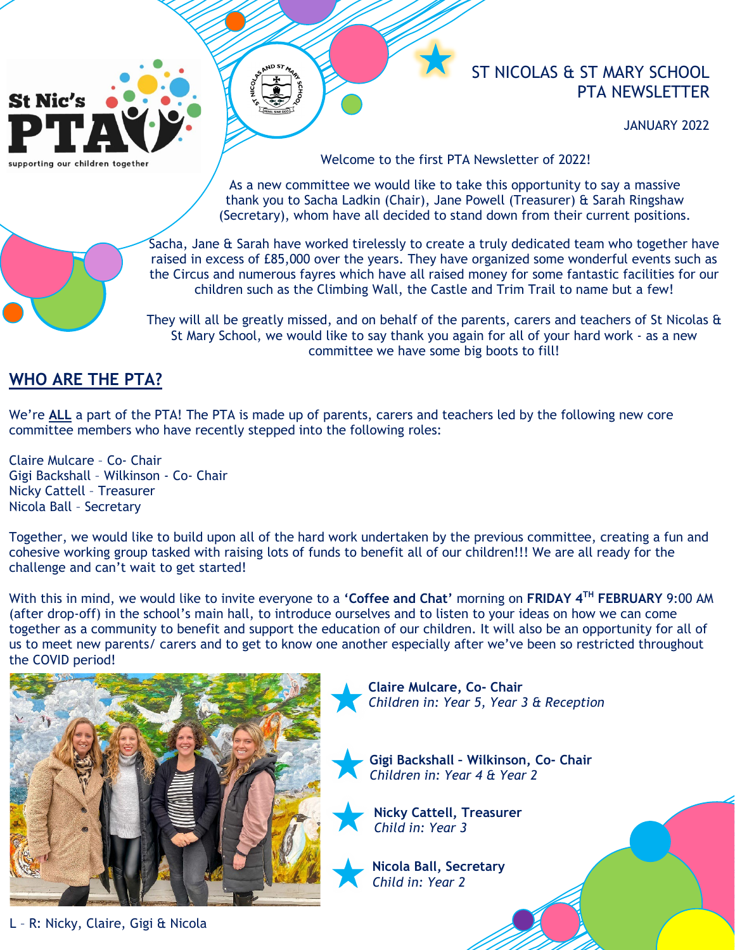# **St Nic's**

supporting our children together

ST NICOLAS & ST MARY SCHOOL PTA NEWSLETTER

JANUARY 2022

Welcome to the first PTA Newsletter of 2022!

As a new committee we would like to take this opportunity to say a massive thank you to Sacha Ladkin (Chair), Jane Powell (Treasurer) & Sarah Ringshaw (Secretary), whom have all decided to stand down from their current positions.



Sacha, Jane & Sarah have worked tirelessly to create a truly dedicated team who together have raised in excess of £85,000 over the years. They have organized some wonderful events such as the Circus and numerous fayres which have all raised money for some fantastic facilities for our children such as the Climbing Wall, the Castle and Trim Trail to name but a few!

They will all be greatly missed, and on behalf of the parents, carers and teachers of St Nicolas & St Mary School, we would like to say thank you again for all of your hard work - as a new committee we have some big boots to fill!

## **WHO ARE THE PTA?**

We're **ALL** a part of the PTA! The PTA is made up of parents, carers and teachers led by the following new core committee members who have recently stepped into the following roles:

Claire Mulcare – Co- Chair Gigi Backshall – Wilkinson - Co- Chair Nicky Cattell – Treasurer Nicola Ball – Secretary

Together, we would like to build upon all of the hard work undertaken by the previous committee, creating a fun and cohesive working group tasked with raising lots of funds to benefit all of our children!!! We are all ready for the challenge and can't wait to get started!

With this in mind, we would like to invite everyone to a **'Coffee and Chat'** morning on **FRIDAY 4TH FEBRUARY** 9:00 AM (after drop-off) in the school's main hall, to introduce ourselves and to listen to your ideas on how we can come together as a community to benefit and support the education of our children. It will also be an opportunity for all of us to meet new parents/ carers and to get to know one another especially after we've been so restricted throughout the COVID period!



**Claire Mulcare, Co- Chair** *Children in: Year 5, Year 3 & Reception*

**Gigi Backshall – Wilkinson, Co- Chair** *Children in: Year 4 & Year 2*

**Nicky Cattell, Treasurer** *Child in: Year 3* 



L – R: Nicky, Claire, Gigi & Nicola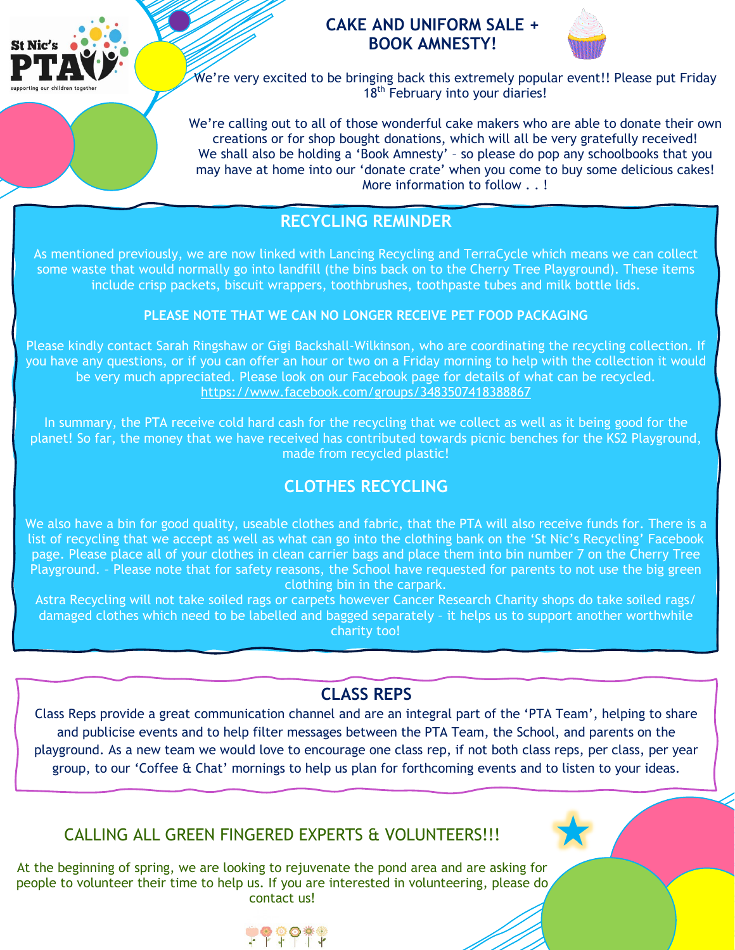

## **CAKE AND UNIFORM SALE + BOOK AMNESTY!**



We're very excited to be bringing back this extremely popular event!! Please put Friday 18<sup>th</sup> February into your diaries!

We're calling out to all of those wonderful cake makers who are able to donate their own creations or for shop bought donations, which will all be very gratefully received! We shall also be holding a 'Book Amnesty' – so please do pop any schoolbooks that you may have at home into our 'donate crate' when you come to buy some delicious cakes! More information to follow . . !

# **RECYCLING REMINDER**

As mentioned previously, we are now linked with Lancing Recycling and TerraCycle which means we can collect some waste that would normally go into landfill (the bins back on to the Cherry Tree Playground). These items include crisp packets, biscuit wrappers, toothbrushes, toothpaste tubes and milk bottle lids.

### **PLEASE NOTE THAT WE CAN NO LONGER RECEIVE PET FOOD PACKAGING**

Please kindly contact Sarah Ringshaw or Gigi Backshall-Wilkinson, who are coordinating the recycling collection. If you have any questions, or if you can offer an hour or two on a Friday morning to help with the collection it would be very much appreciated. Please look on our Facebook page for details of what can be recycled. <https://www.facebook.com/groups/3483507418388867>

In summary, the PTA receive cold hard cash for the recycling that we collect as well as it being good for the planet! So far, the money that we have received has contributed towards picnic benches for the KS2 Playground, made from recycled plastic!

# **CLOTHES RECYCLING**

We also have a bin for good quality, useable clothes and fabric, that the PTA will also receive funds for. There is a list of recycling that we accept as well as what can go into the clothing bank on the 'St Nic's Recycling' Facebook page. Please place all of your clothes in clean carrier bags and place them into bin number 7 on the Cherry Tree Playground. – Please note that for safety reasons, the School have requested for parents to not use the big green clothing bin in the carpark.

Astra Recycling will not take soiled rags or carpets however Cancer Research Charity shops do take soiled rags/ damaged clothes which need to be labelled and bagged separately – it helps us to support another worthwhile charity too!

# **CLASS REPS**

Class Reps provide a great communication channel and are an integral part of the 'PTA Team', helping to share and publicise events and to help filter messages between the PTA Team, the School, and parents on the playground. As a new team we would love to encourage one class rep, if not both class reps, per class, per year group, to our 'Coffee & Chat' mornings to help us plan for forthcoming events and to listen to your ideas.

## CALLING ALL GREEN FINGERED EXPERTS & VOLUNTEERS!!!

At the beginning of spring, we are looking to rejuvenate the pond area and are asking for people to volunteer their time to help us. If you are interested in volunteering, please do contact us!